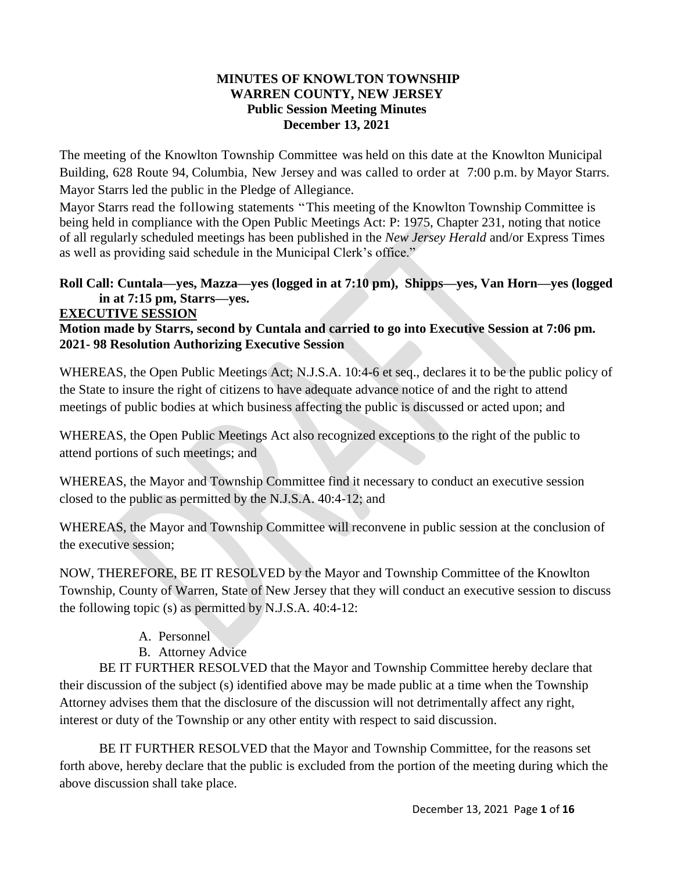#### **MINUTES OF KNOWLTON TOWNSHIP WARREN COUNTY, NEW JERSEY Public Session Meeting Minutes December 13, 2021**

The meeting of the Knowlton Township Committee was held on this date at the Knowlton Municipal Building, 628 Route 94, Columbia, New Jersey and was called to order at 7:00 p.m. by Mayor Starrs. Mayor Starrs led the public in the Pledge of Allegiance.

Mayor Starrs read the following statements "This meeting of the Knowlton Township Committee is being held in compliance with the Open Public Meetings Act: P: 1975, Chapter 231, noting that notice of all regularly scheduled meetings has been published in the *New Jersey Herald* and/or Express Times as well as providing said schedule in the Municipal Clerk's office."

# **Roll Call: Cuntala—yes, Mazza—yes (logged in at 7:10 pm), Shipps—yes, Van Horn—yes (logged in at 7:15 pm, Starrs—yes.**

#### **EXECUTIVE SESSION**

**Motion made by Starrs, second by Cuntala and carried to go into Executive Session at 7:06 pm. 2021- 98 Resolution Authorizing Executive Session** 

WHEREAS, the Open Public Meetings Act; N.J.S.A. 10:4-6 et seq., declares it to be the public policy of the State to insure the right of citizens to have adequate advance notice of and the right to attend meetings of public bodies at which business affecting the public is discussed or acted upon; and

WHEREAS, the Open Public Meetings Act also recognized exceptions to the right of the public to attend portions of such meetings; and

WHEREAS, the Mayor and Township Committee find it necessary to conduct an executive session closed to the public as permitted by the N.J.S.A. 40:4-12; and

WHEREAS, the Mayor and Township Committee will reconvene in public session at the conclusion of the executive session;

NOW, THEREFORE, BE IT RESOLVED by the Mayor and Township Committee of the Knowlton Township, County of Warren, State of New Jersey that they will conduct an executive session to discuss the following topic (s) as permitted by N.J.S.A. 40:4-12:

- A. Personnel
- B. Attorney Advice

BE IT FURTHER RESOLVED that the Mayor and Township Committee hereby declare that their discussion of the subject (s) identified above may be made public at a time when the Township Attorney advises them that the disclosure of the discussion will not detrimentally affect any right, interest or duty of the Township or any other entity with respect to said discussion.

BE IT FURTHER RESOLVED that the Mayor and Township Committee, for the reasons set forth above, hereby declare that the public is excluded from the portion of the meeting during which the above discussion shall take place.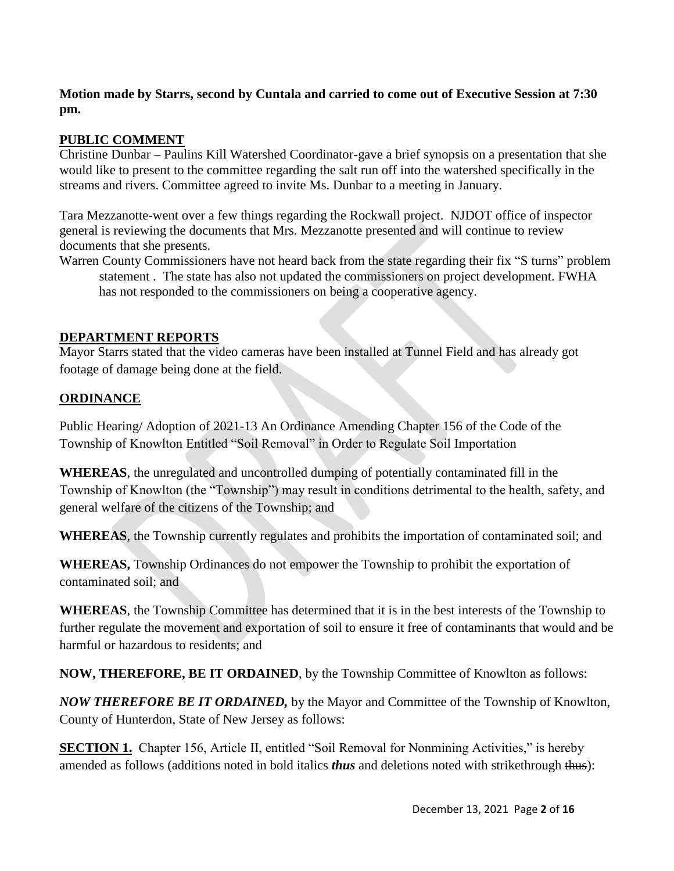### **Motion made by Starrs, second by Cuntala and carried to come out of Executive Session at 7:30 pm.**

# **PUBLIC COMMENT**

Christine Dunbar – Paulins Kill Watershed Coordinator-gave a brief synopsis on a presentation that she would like to present to the committee regarding the salt run off into the watershed specifically in the streams and rivers. Committee agreed to invite Ms. Dunbar to a meeting in January.

Tara Mezzanotte-went over a few things regarding the Rockwall project. NJDOT office of inspector general is reviewing the documents that Mrs. Mezzanotte presented and will continue to review documents that she presents.

Warren County Commissioners have not heard back from the state regarding their fix "S turns" problem statement . The state has also not updated the commissioners on project development. FWHA has not responded to the commissioners on being a cooperative agency.

# **DEPARTMENT REPORTS**

Mayor Starrs stated that the video cameras have been installed at Tunnel Field and has already got footage of damage being done at the field.

### **ORDINANCE**

Public Hearing/ Adoption of 2021-13 An Ordinance Amending Chapter 156 of the Code of the Township of Knowlton Entitled "Soil Removal" in Order to Regulate Soil Importation

**WHEREAS**, the unregulated and uncontrolled dumping of potentially contaminated fill in the Township of Knowlton (the "Township") may result in conditions detrimental to the health, safety, and general welfare of the citizens of the Township; and

**WHEREAS**, the Township currently regulates and prohibits the importation of contaminated soil; and

**WHEREAS,** Township Ordinances do not empower the Township to prohibit the exportation of contaminated soil; and

**WHEREAS**, the Township Committee has determined that it is in the best interests of the Township to further regulate the movement and exportation of soil to ensure it free of contaminants that would and be harmful or hazardous to residents; and

**NOW, THEREFORE, BE IT ORDAINED**, by the Township Committee of Knowlton as follows:

*NOW THEREFORE BE IT ORDAINED,* by the Mayor and Committee of the Township of Knowlton, County of Hunterdon, State of New Jersey as follows:

**SECTION 1.** Chapter 156, Article II, entitled "Soil Removal for Nonmining Activities," is hereby amended as follows (additions noted in bold italics *thus* and deletions noted with strikethrough thus):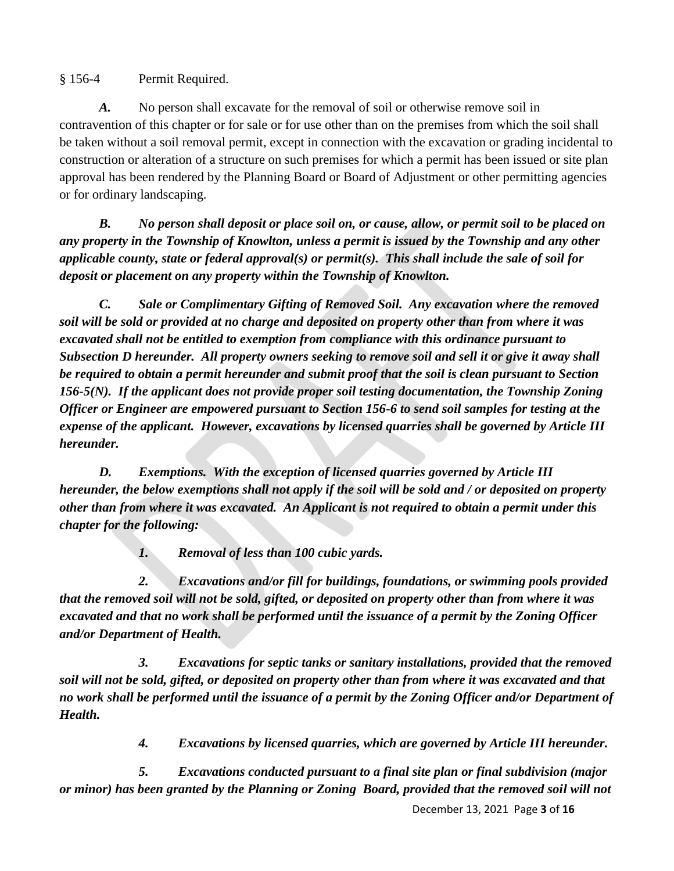§ 156-4 Permit Required.

*A.* No person shall excavate for the removal of soil or otherwise remove soil in contravention of this chapter or for sale or for use other than on the premises from which the soil shall be taken without a soil removal permit, except in connection with the excavation or grading incidental to construction or alteration of a structure on such premises for which a permit has been issued or site plan approval has been rendered by the Planning Board or Board of Adjustment or other permitting agencies or for ordinary landscaping.

*B. No person shall deposit or place soil on, or cause, allow, or permit soil to be placed on any property in the Township of Knowlton, unless a permit is issued by the Township and any other applicable county, state or federal approval(s) or permit(s). This shall include the sale of soil for deposit or placement on any property within the Township of Knowlton.*

*C. Sale or Complimentary Gifting of Removed Soil. Any excavation where the removed soil will be sold or provided at no charge and deposited on property other than from where it was excavated shall not be entitled to exemption from compliance with this ordinance pursuant to Subsection D hereunder. All property owners seeking to remove soil and sell it or give it away shall be required to obtain a permit hereunder and submit proof that the soil is clean pursuant to Section 156-5(N). If the applicant does not provide proper soil testing documentation, the Township Zoning Officer or Engineer are empowered pursuant to Section 156-6 to send soil samples for testing at the expense of the applicant. However, excavations by licensed quarries shall be governed by Article III hereunder.*

*D. Exemptions. With the exception of licensed quarries governed by Article III hereunder, the below exemptions shall not apply if the soil will be sold and / or deposited on property other than from where it was excavated. An Applicant is not required to obtain a permit under this chapter for the following:*

*1. Removal of less than 100 cubic yards.* 

*2. Excavations and/or fill for buildings, foundations, or swimming pools provided that the removed soil will not be sold, gifted, or deposited on property other than from where it was excavated and that no work shall be performed until the issuance of a permit by the Zoning Officer and/or Department of Health.*

*3. Excavations for septic tanks or sanitary installations, provided that the removed soil will not be sold, gifted, or deposited on property other than from where it was excavated and that no work shall be performed until the issuance of a permit by the Zoning Officer and/or Department of Health.*

*4. Excavations by licensed quarries, which are governed by Article III hereunder.*

*5. Excavations conducted pursuant to a final site plan or final subdivision (major or minor) has been granted by the Planning or Zoning Board, provided that the removed soil will not* 

December 13, 2021 Page **3** of **16**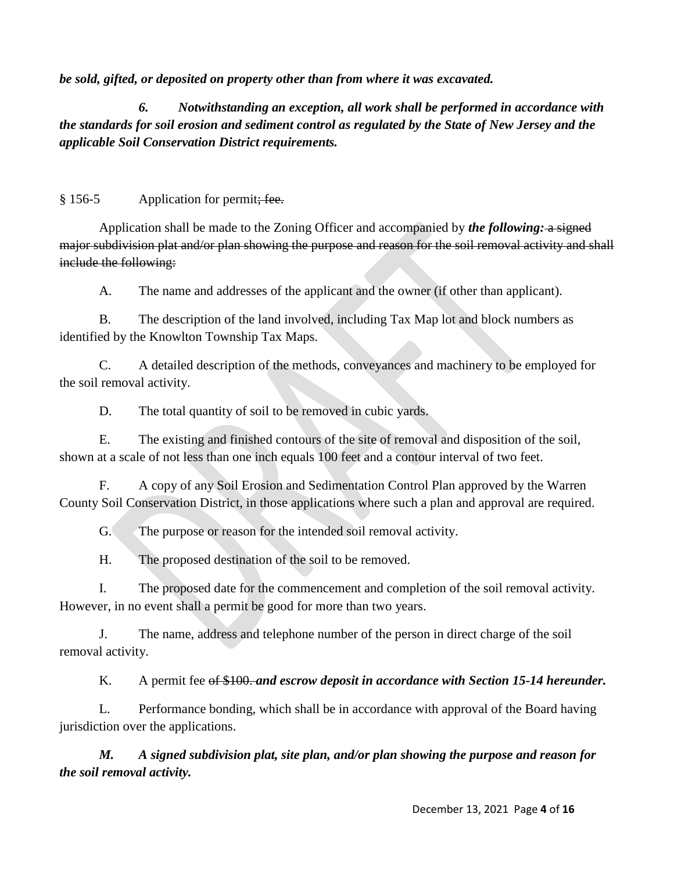*be sold, gifted, or deposited on property other than from where it was excavated.* 

*6. Notwithstanding an exception, all work shall be performed in accordance with the standards for soil erosion and sediment control as regulated by the State of New Jersey and the applicable Soil Conservation District requirements.*

# § 156-5 Application for permit<del>; fee.</del>

Application shall be made to the Zoning Officer and accompanied by *the following*: a signed major subdivision plat and/or plan showing the purpose and reason for the soil removal activity and shall include the following:

A. The name and addresses of the applicant and the owner (if other than applicant).

B. The description of the land involved, including Tax Map lot and block numbers as identified by the Knowlton Township Tax Maps.

C. A detailed description of the methods, conveyances and machinery to be employed for the soil removal activity.

D. The total quantity of soil to be removed in cubic yards.

E. The existing and finished contours of the site of removal and disposition of the soil, shown at a scale of not less than one inch equals 100 feet and a contour interval of two feet.

F. A copy of any Soil Erosion and Sedimentation Control Plan approved by the Warren County Soil Conservation District, in those applications where such a plan and approval are required.

G. The purpose or reason for the intended soil removal activity.

H. The proposed destination of the soil to be removed.

I. The proposed date for the commencement and completion of the soil removal activity. However, in no event shall a permit be good for more than two years.

J. The name, address and telephone number of the person in direct charge of the soil removal activity.

K. A permit fee of \$100. *and escrow deposit in accordance with Section 15-14 hereunder.*

L. Performance bonding, which shall be in accordance with approval of the Board having jurisdiction over the applications.

*M. A signed subdivision plat, site plan, and/or plan showing the purpose and reason for the soil removal activity.*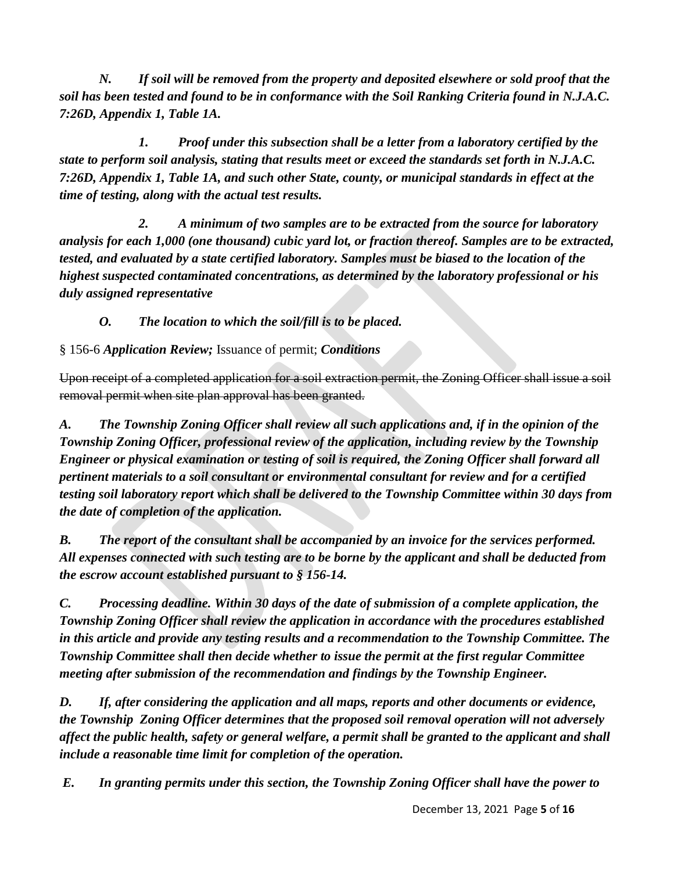*N. If soil will be removed from the property and deposited elsewhere or sold proof that the soil has been tested and found to be in conformance with the Soil Ranking Criteria found in N.J.A.C. 7:26D, Appendix 1, Table 1A.* 

*1. Proof under this subsection shall be a letter from a laboratory certified by the state to perform soil analysis, stating that results meet or exceed the standards set forth in N.J.A.C. 7:26D, Appendix 1, Table 1A, and such other State, county, or municipal standards in effect at the time of testing, along with the actual test results.*

*2. A minimum of two samples are to be extracted from the source for laboratory analysis for each 1,000 (one thousand) cubic yard lot, or fraction thereof. Samples are to be extracted, tested, and evaluated by a state certified laboratory. Samples must be biased to the location of the highest suspected contaminated concentrations, as determined by the laboratory professional or his duly assigned representative*

*O. The location to which the soil/fill is to be placed.*

§ 156-6 *Application Review;* Issuance of permit; *Conditions*

Upon receipt of a completed application for a soil extraction permit, the Zoning Officer shall issue a soil removal permit when site plan approval has been granted.

*A. The Township Zoning Officer shall review all such applications and, if in the opinion of the Township Zoning Officer, professional review of the application, including review by the Township Engineer or physical examination or testing of soil is required, the Zoning Officer shall forward all pertinent materials to a soil consultant or environmental consultant for review and for a certified testing soil laboratory report which shall be delivered to the Township Committee within 30 days from the date of completion of the application.* 

*B. The report of the consultant shall be accompanied by an invoice for the services performed. All expenses connected with such testing are to be borne by the applicant and shall be deducted from the escrow account established pursuant to § 156-14.*

*C. Processing deadline. Within 30 days of the date of submission of a complete application, the Township Zoning Officer shall review the application in accordance with the procedures established in this article and provide any testing results and a recommendation to the Township Committee. The Township Committee shall then decide whether to issue the permit at the first regular Committee meeting after submission of the recommendation and findings by the Township Engineer.*

*D. If, after considering the application and all maps, reports and other documents or evidence, the Township Zoning Officer determines that the proposed soil removal operation will not adversely affect the public health, safety or general welfare, a permit shall be granted to the applicant and shall include a reasonable time limit for completion of the operation.*

*E. In granting permits under this section, the Township Zoning Officer shall have the power to*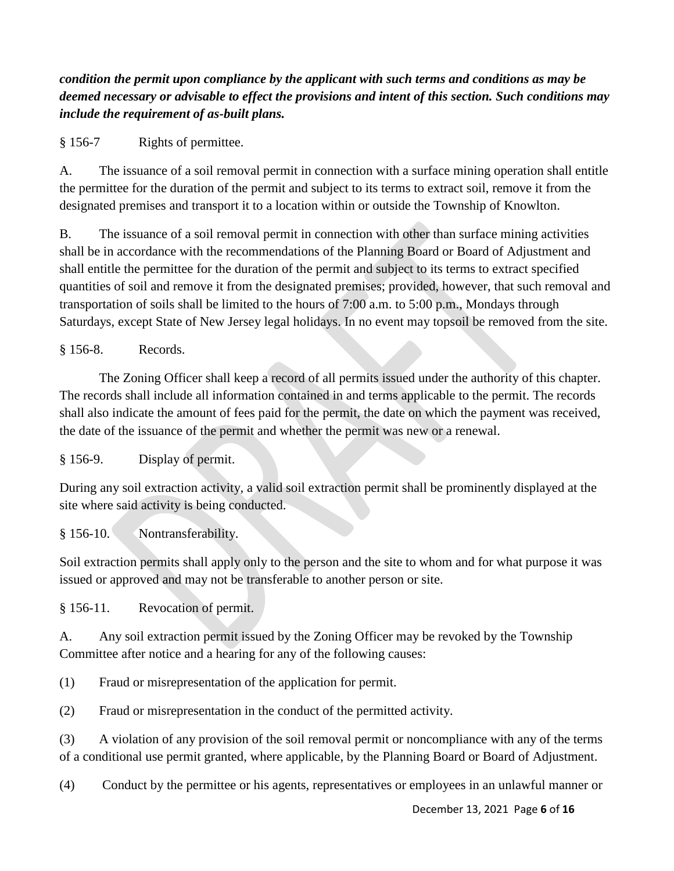*condition the permit upon compliance by the applicant with such terms and conditions as may be deemed necessary or advisable to effect the provisions and intent of this section. Such conditions may include the requirement of as-built plans.*

§ 156-7 Rights of permittee.

A. The issuance of a soil removal permit in connection with a surface mining operation shall entitle the permittee for the duration of the permit and subject to its terms to extract soil, remove it from the designated premises and transport it to a location within or outside the Township of Knowlton.

B. The issuance of a soil removal permit in connection with other than surface mining activities shall be in accordance with the recommendations of the Planning Board or Board of Adjustment and shall entitle the permittee for the duration of the permit and subject to its terms to extract specified quantities of soil and remove it from the designated premises; provided, however, that such removal and transportation of soils shall be limited to the hours of 7:00 a.m. to 5:00 p.m., Mondays through Saturdays, except State of New Jersey legal holidays. In no event may topsoil be removed from the site.

§ 156-8. Records.

The Zoning Officer shall keep a record of all permits issued under the authority of this chapter. The records shall include all information contained in and terms applicable to the permit. The records shall also indicate the amount of fees paid for the permit, the date on which the payment was received, the date of the issuance of the permit and whether the permit was new or a renewal.

§ 156-9. Display of permit.

During any soil extraction activity, a valid soil extraction permit shall be prominently displayed at the site where said activity is being conducted.

### § 156-10. Nontransferability.

Soil extraction permits shall apply only to the person and the site to whom and for what purpose it was issued or approved and may not be transferable to another person or site.

§ 156-11. Revocation of permit.

A. Any soil extraction permit issued by the Zoning Officer may be revoked by the Township Committee after notice and a hearing for any of the following causes:

(1) Fraud or misrepresentation of the application for permit.

(2) Fraud or misrepresentation in the conduct of the permitted activity.

(3) A violation of any provision of the soil removal permit or noncompliance with any of the terms of a conditional use permit granted, where applicable, by the Planning Board or Board of Adjustment.

(4) Conduct by the permittee or his agents, representatives or employees in an unlawful manner or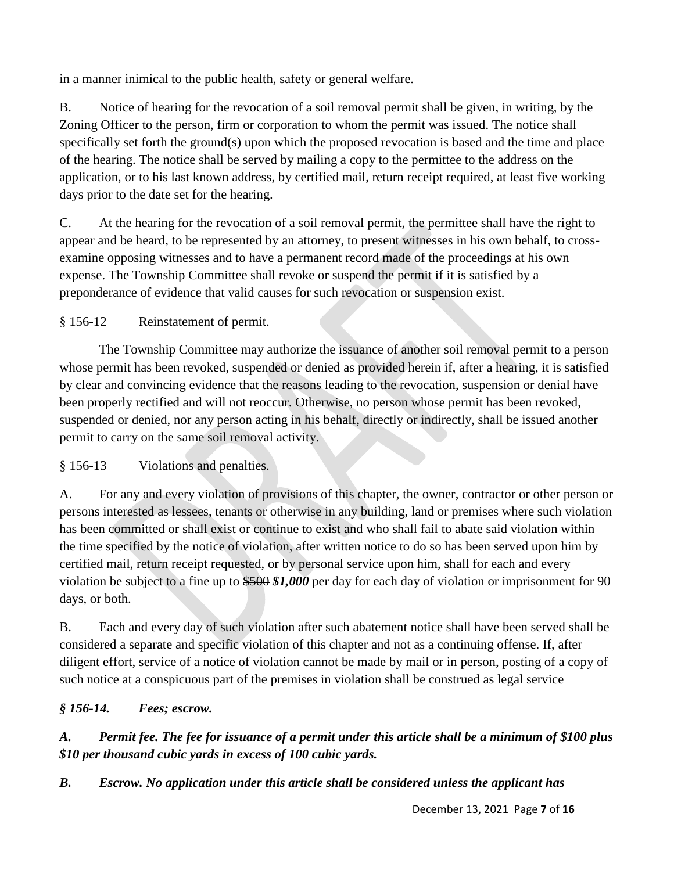in a manner inimical to the public health, safety or general welfare.

B. Notice of hearing for the revocation of a soil removal permit shall be given, in writing, by the Zoning Officer to the person, firm or corporation to whom the permit was issued. The notice shall specifically set forth the ground(s) upon which the proposed revocation is based and the time and place of the hearing. The notice shall be served by mailing a copy to the permittee to the address on the application, or to his last known address, by certified mail, return receipt required, at least five working days prior to the date set for the hearing.

C. At the hearing for the revocation of a soil removal permit, the permittee shall have the right to appear and be heard, to be represented by an attorney, to present witnesses in his own behalf, to crossexamine opposing witnesses and to have a permanent record made of the proceedings at his own expense. The Township Committee shall revoke or suspend the permit if it is satisfied by a preponderance of evidence that valid causes for such revocation or suspension exist.

§ 156-12 Reinstatement of permit.

The Township Committee may authorize the issuance of another soil removal permit to a person whose permit has been revoked, suspended or denied as provided herein if, after a hearing, it is satisfied by clear and convincing evidence that the reasons leading to the revocation, suspension or denial have been properly rectified and will not reoccur. Otherwise, no person whose permit has been revoked, suspended or denied, nor any person acting in his behalf, directly or indirectly, shall be issued another permit to carry on the same soil removal activity.

§ 156-13 Violations and penalties.

A. For any and every violation of provisions of this chapter, the owner, contractor or other person or persons interested as lessees, tenants or otherwise in any building, land or premises where such violation has been committed or shall exist or continue to exist and who shall fail to abate said violation within the time specified by the notice of violation, after written notice to do so has been served upon him by certified mail, return receipt requested, or by personal service upon him, shall for each and every violation be subject to a fine up to \$500 *\$1,000* per day for each day of violation or imprisonment for 90 days, or both.

B. Each and every day of such violation after such abatement notice shall have been served shall be considered a separate and specific violation of this chapter and not as a continuing offense. If, after diligent effort, service of a notice of violation cannot be made by mail or in person, posting of a copy of such notice at a conspicuous part of the premises in violation shall be construed as legal service

# *§ 156-14. Fees; escrow.*

*A. Permit fee. The fee for issuance of a permit under this article shall be a minimum of \$100 plus \$10 per thousand cubic yards in excess of 100 cubic yards.*

*B. Escrow. No application under this article shall be considered unless the applicant has*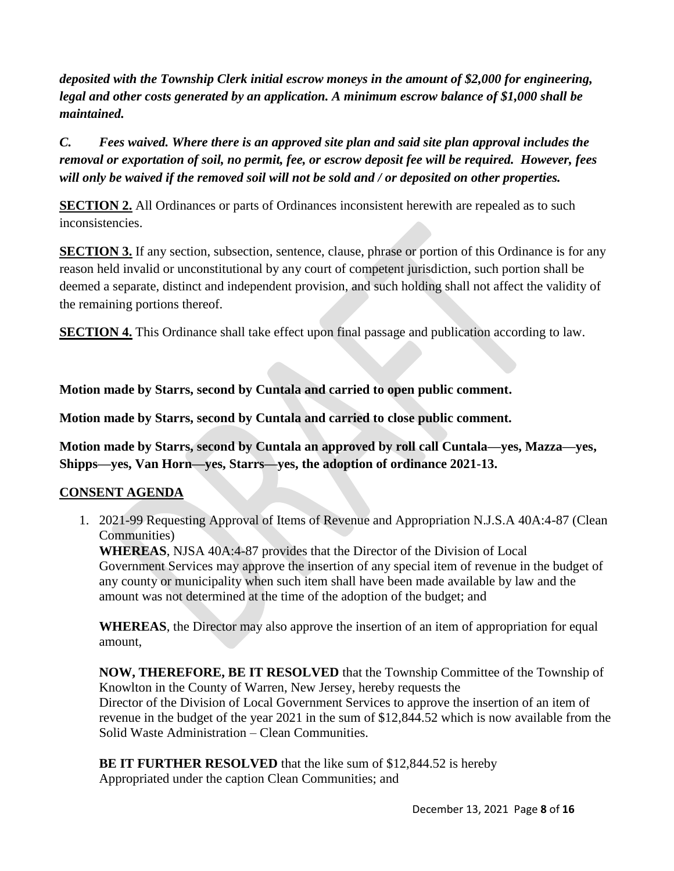*deposited with the Township Clerk initial escrow moneys in the amount of \$2,000 for engineering, legal and other costs generated by an application. A minimum escrow balance of \$1,000 shall be maintained.*

*C. Fees waived. Where there is an approved site plan and said site plan approval includes the removal or exportation of soil, no permit, fee, or escrow deposit fee will be required. However, fees will only be waived if the removed soil will not be sold and / or deposited on other properties.*

**SECTION 2.** All Ordinances or parts of Ordinances inconsistent herewith are repealed as to such inconsistencies.

**SECTION 3.** If any section, subsection, sentence, clause, phrase or portion of this Ordinance is for any reason held invalid or unconstitutional by any court of competent jurisdiction, such portion shall be deemed a separate, distinct and independent provision, and such holding shall not affect the validity of the remaining portions thereof.

**SECTION 4.** This Ordinance shall take effect upon final passage and publication according to law.

**Motion made by Starrs, second by Cuntala and carried to open public comment.**

**Motion made by Starrs, second by Cuntala and carried to close public comment.** 

**Motion made by Starrs, second by Cuntala an approved by roll call Cuntala—yes, Mazza—yes, Shipps—yes, Van Horn—yes, Starrs—yes, the adoption of ordinance 2021-13.**

# **CONSENT AGENDA**

1. 2021-99 Requesting Approval of Items of Revenue and Appropriation N.J.S.A 40A:4-87 (Clean Communities)

**WHEREAS**, NJSA 40A:4-87 provides that the Director of the Division of Local Government Services may approve the insertion of any special item of revenue in the budget of any county or municipality when such item shall have been made available by law and the amount was not determined at the time of the adoption of the budget; and

**WHEREAS**, the Director may also approve the insertion of an item of appropriation for equal amount,

**NOW, THEREFORE, BE IT RESOLVED** that the Township Committee of the Township of Knowlton in the County of Warren, New Jersey, hereby requests the Director of the Division of Local Government Services to approve the insertion of an item of revenue in the budget of the year 2021 in the sum of \$12,844.52 which is now available from the Solid Waste Administration – Clean Communities.

**BE IT FURTHER RESOLVED** that the like sum of \$12,844.52 is hereby Appropriated under the caption Clean Communities; and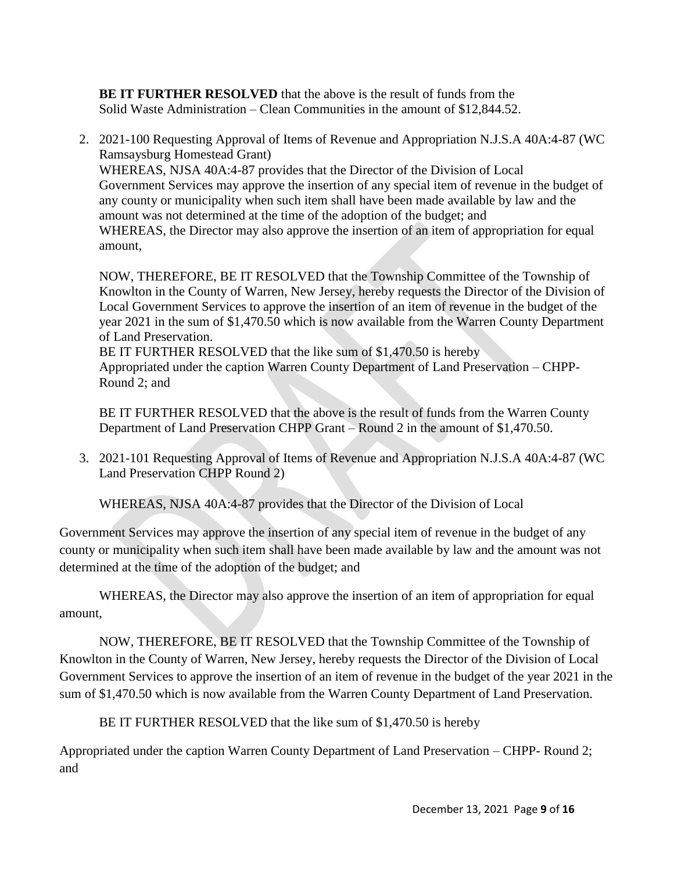**BE IT FURTHER RESOLVED** that the above is the result of funds from the Solid Waste Administration – Clean Communities in the amount of \$12,844.52.

2. 2021-100 Requesting Approval of Items of Revenue and Appropriation N.J.S.A 40A:4-87 (WC Ramsaysburg Homestead Grant) WHEREAS, NJSA 40A:4-87 provides that the Director of the Division of Local Government Services may approve the insertion of any special item of revenue in the budget of any county or municipality when such item shall have been made available by law and the amount was not determined at the time of the adoption of the budget; and WHEREAS, the Director may also approve the insertion of an item of appropriation for equal amount,

NOW, THEREFORE, BE IT RESOLVED that the Township Committee of the Township of Knowlton in the County of Warren, New Jersey, hereby requests the Director of the Division of Local Government Services to approve the insertion of an item of revenue in the budget of the year 2021 in the sum of \$1,470.50 which is now available from the Warren County Department of Land Preservation.

BE IT FURTHER RESOLVED that the like sum of \$1,470.50 is hereby Appropriated under the caption Warren County Department of Land Preservation – CHPP-Round 2; and

BE IT FURTHER RESOLVED that the above is the result of funds from the Warren County Department of Land Preservation CHPP Grant – Round 2 in the amount of \$1,470.50.

3. 2021-101 Requesting Approval of Items of Revenue and Appropriation N.J.S.A 40A:4-87 (WC Land Preservation CHPP Round 2)

WHEREAS, NJSA 40A:4-87 provides that the Director of the Division of Local

Government Services may approve the insertion of any special item of revenue in the budget of any county or municipality when such item shall have been made available by law and the amount was not determined at the time of the adoption of the budget; and

WHEREAS, the Director may also approve the insertion of an item of appropriation for equal amount,

NOW, THEREFORE, BE IT RESOLVED that the Township Committee of the Township of Knowlton in the County of Warren, New Jersey, hereby requests the Director of the Division of Local Government Services to approve the insertion of an item of revenue in the budget of the year 2021 in the sum of \$1,470.50 which is now available from the Warren County Department of Land Preservation.

BE IT FURTHER RESOLVED that the like sum of \$1,470.50 is hereby

Appropriated under the caption Warren County Department of Land Preservation – CHPP- Round 2; and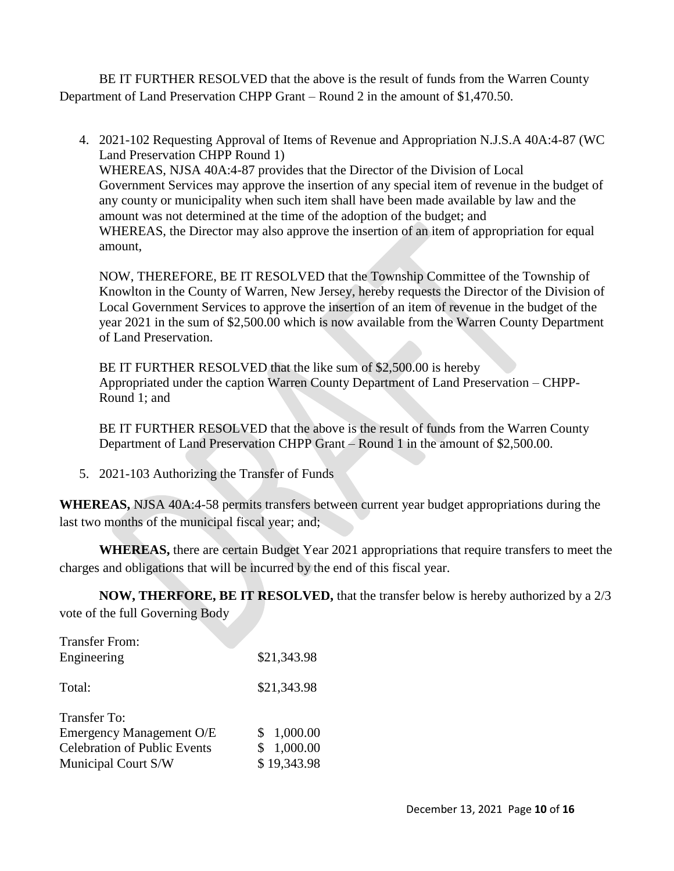BE IT FURTHER RESOLVED that the above is the result of funds from the Warren County Department of Land Preservation CHPP Grant – Round 2 in the amount of \$1,470.50.

4. 2021-102 Requesting Approval of Items of Revenue and Appropriation N.J.S.A 40A:4-87 (WC Land Preservation CHPP Round 1) WHEREAS, NJSA 40A:4-87 provides that the Director of the Division of Local Government Services may approve the insertion of any special item of revenue in the budget of any county or municipality when such item shall have been made available by law and the amount was not determined at the time of the adoption of the budget; and WHEREAS, the Director may also approve the insertion of an item of appropriation for equal amount,

NOW, THEREFORE, BE IT RESOLVED that the Township Committee of the Township of Knowlton in the County of Warren, New Jersey, hereby requests the Director of the Division of Local Government Services to approve the insertion of an item of revenue in the budget of the year 2021 in the sum of \$2,500.00 which is now available from the Warren County Department of Land Preservation.

BE IT FURTHER RESOLVED that the like sum of \$2,500.00 is hereby Appropriated under the caption Warren County Department of Land Preservation – CHPP-Round 1; and

BE IT FURTHER RESOLVED that the above is the result of funds from the Warren County Department of Land Preservation CHPP Grant – Round 1 in the amount of \$2,500.00.

5. 2021-103 Authorizing the Transfer of Funds

**WHEREAS,** NJSA 40A:4-58 permits transfers between current year budget appropriations during the last two months of the municipal fiscal year; and;

**WHEREAS,** there are certain Budget Year 2021 appropriations that require transfers to meet the charges and obligations that will be incurred by the end of this fiscal year.

**NOW, THERFORE, BE IT RESOLVED,** that the transfer below is hereby authorized by a 2/3 vote of the full Governing Body

| <b>Transfer From:</b>               |             |
|-------------------------------------|-------------|
| Engineering                         | \$21,343.98 |
| Total:                              | \$21,343.98 |
| Transfer To:                        |             |
| Emergency Management O/E            | 1,000.00    |
| <b>Celebration of Public Events</b> | 1,000.00    |
| Municipal Court S/W                 | \$19,343.98 |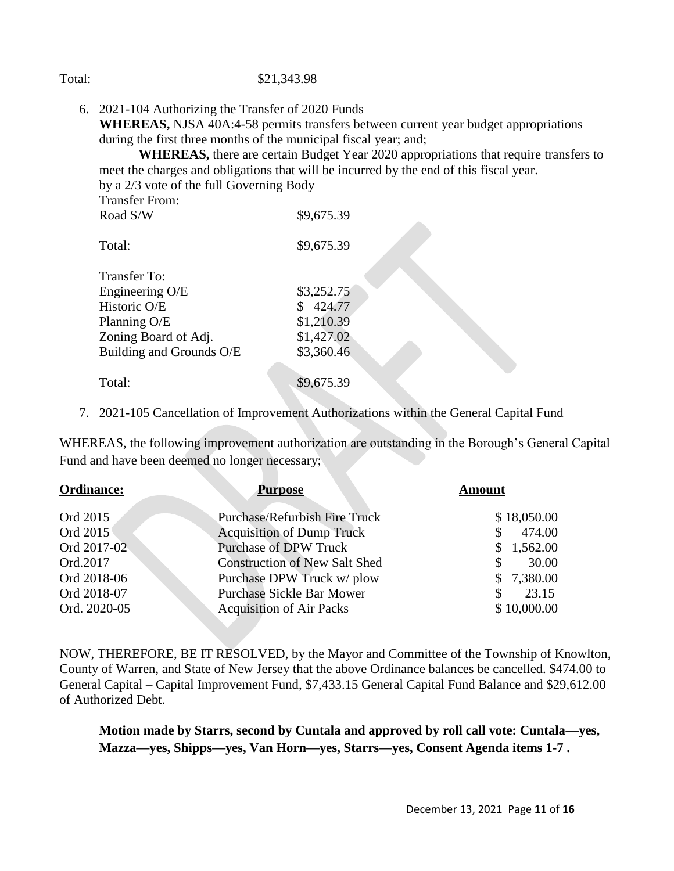#### Total: \$21,343.98

6. 2021-104 Authorizing the Transfer of 2020 Funds **WHEREAS,** NJSA 40A:4-58 permits transfers between current year budget appropriations during the first three months of the municipal fiscal year; and;

**WHEREAS,** there are certain Budget Year 2020 appropriations that require transfers to meet the charges and obligations that will be incurred by the end of this fiscal year. by a 2/3 vote of the full Governing Body

| <b>Transfer From:</b>    |            |
|--------------------------|------------|
| Road S/W                 | \$9,675.39 |
| Total:                   | \$9,675.39 |
| <b>Transfer To:</b>      |            |
| Engineering O/E          | \$3,252.75 |
| Historic O/E             | \$424.77   |
| Planning O/E             | \$1,210.39 |
| Zoning Board of Adj.     | \$1,427.02 |
| Building and Grounds O/E | \$3,360.46 |
| Total:                   | \$9,675.39 |

7. 2021-105 Cancellation of Improvement Authorizations within the General Capital Fund

WHEREAS, the following improvement authorization are outstanding in the Borough's General Capital Fund and have been deemed no longer necessary;

| <b>Ordinance:</b><br><b>Purpose</b> |                                      | <b>Amount</b> |  |
|-------------------------------------|--------------------------------------|---------------|--|
| Ord 2015                            | <b>Purchase/Refurbish Fire Truck</b> | \$18,050.00   |  |
| Ord 2015                            | <b>Acquisition of Dump Truck</b>     | 474.00        |  |
| Ord 2017-02                         | <b>Purchase of DPW Truck</b>         | \$1,562.00    |  |
| Ord.2017                            | <b>Construction of New Salt Shed</b> | 30.00         |  |
| Ord 2018-06                         | Purchase DPW Truck w/ plow           | \$7,380.00    |  |
| Ord 2018-07                         | <b>Purchase Sickle Bar Mower</b>     | 23.15         |  |
| Ord. 2020-05                        | <b>Acquisition of Air Packs</b>      | \$10,000.00   |  |

NOW, THEREFORE, BE IT RESOLVED, by the Mayor and Committee of the Township of Knowlton, County of Warren, and State of New Jersey that the above Ordinance balances be cancelled. \$474.00 to General Capital – Capital Improvement Fund, \$7,433.15 General Capital Fund Balance and \$29,612.00 of Authorized Debt.

**Motion made by Starrs, second by Cuntala and approved by roll call vote: Cuntala—yes, Mazza—yes, Shipps—yes, Van Horn—yes, Starrs—yes, Consent Agenda items 1-7 .**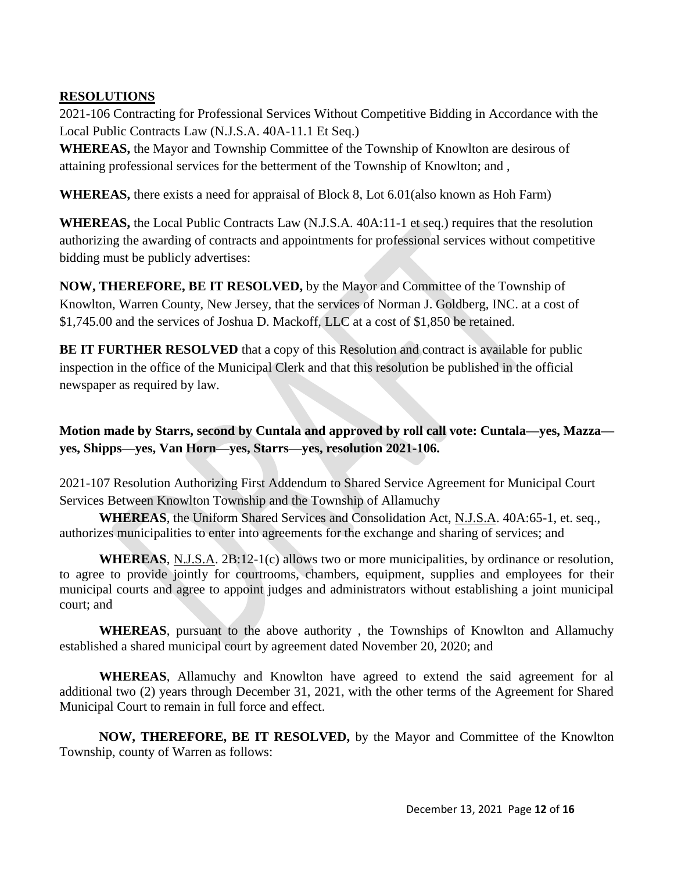# **RESOLUTIONS**

2021-106 Contracting for Professional Services Without Competitive Bidding in Accordance with the Local Public Contracts Law (N.J.S.A. 40A-11.1 Et Seq.)

**WHEREAS,** the Mayor and Township Committee of the Township of Knowlton are desirous of attaining professional services for the betterment of the Township of Knowlton; and ,

**WHEREAS,** there exists a need for appraisal of Block 8, Lot 6.01(also known as Hoh Farm)

**WHEREAS,** the Local Public Contracts Law (N.J.S.A. 40A:11-1 et seq.) requires that the resolution authorizing the awarding of contracts and appointments for professional services without competitive bidding must be publicly advertises:

**NOW, THEREFORE, BE IT RESOLVED,** by the Mayor and Committee of the Township of Knowlton, Warren County, New Jersey, that the services of Norman J. Goldberg, INC. at a cost of \$1,745.00 and the services of Joshua D. Mackoff, LLC at a cost of \$1,850 be retained.

**BE IT FURTHER RESOLVED** that a copy of this Resolution and contract is available for public inspection in the office of the Municipal Clerk and that this resolution be published in the official newspaper as required by law.

**Motion made by Starrs, second by Cuntala and approved by roll call vote: Cuntala—yes, Mazza yes, Shipps—yes, Van Horn—yes, Starrs—yes, resolution 2021-106.**

2021-107 Resolution Authorizing First Addendum to Shared Service Agreement for Municipal Court Services Between Knowlton Township and the Township of Allamuchy

**WHEREAS**, the Uniform Shared Services and Consolidation Act, N.J.S.A. 40A:65-1, et. seq., authorizes municipalities to enter into agreements for the exchange and sharing of services; and

**WHEREAS**, N.J.S.A. 2B:12-1(c) allows two or more municipalities, by ordinance or resolution, to agree to provide jointly for courtrooms, chambers, equipment, supplies and employees for their municipal courts and agree to appoint judges and administrators without establishing a joint municipal court; and

**WHEREAS**, pursuant to the above authority , the Townships of Knowlton and Allamuchy established a shared municipal court by agreement dated November 20, 2020; and

**WHEREAS**, Allamuchy and Knowlton have agreed to extend the said agreement for al additional two (2) years through December 31, 2021, with the other terms of the Agreement for Shared Municipal Court to remain in full force and effect.

**NOW, THEREFORE, BE IT RESOLVED,** by the Mayor and Committee of the Knowlton Township, county of Warren as follows: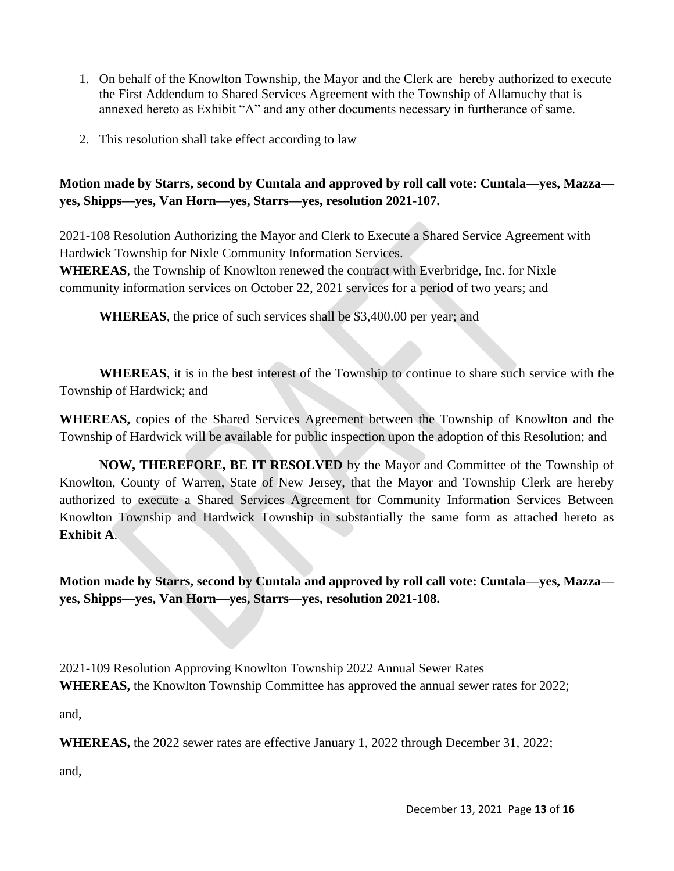- 1. On behalf of the Knowlton Township, the Mayor and the Clerk are hereby authorized to execute the First Addendum to Shared Services Agreement with the Township of Allamuchy that is annexed hereto as Exhibit "A" and any other documents necessary in furtherance of same.
- 2. This resolution shall take effect according to law

**Motion made by Starrs, second by Cuntala and approved by roll call vote: Cuntala—yes, Mazza yes, Shipps—yes, Van Horn—yes, Starrs—yes, resolution 2021-107.**

2021-108 Resolution Authorizing the Mayor and Clerk to Execute a Shared Service Agreement with Hardwick Township for Nixle Community Information Services.

**WHEREAS**, the Township of Knowlton renewed the contract with Everbridge, Inc. for Nixle community information services on October 22, 2021 services for a period of two years; and

**WHEREAS**, the price of such services shall be \$3,400.00 per year; and

**WHEREAS**, it is in the best interest of the Township to continue to share such service with the Township of Hardwick; and

**WHEREAS,** copies of the Shared Services Agreement between the Township of Knowlton and the Township of Hardwick will be available for public inspection upon the adoption of this Resolution; and

**NOW, THEREFORE, BE IT RESOLVED** by the Mayor and Committee of the Township of Knowlton, County of Warren, State of New Jersey, that the Mayor and Township Clerk are hereby authorized to execute a Shared Services Agreement for Community Information Services Between Knowlton Township and Hardwick Township in substantially the same form as attached hereto as **Exhibit A**.

**Motion made by Starrs, second by Cuntala and approved by roll call vote: Cuntala—yes, Mazza yes, Shipps—yes, Van Horn—yes, Starrs—yes, resolution 2021-108.**

2021-109 Resolution Approving Knowlton Township 2022 Annual Sewer Rates **WHEREAS,** the Knowlton Township Committee has approved the annual sewer rates for 2022;

and,

**WHEREAS,** the 2022 sewer rates are effective January 1, 2022 through December 31, 2022;

and,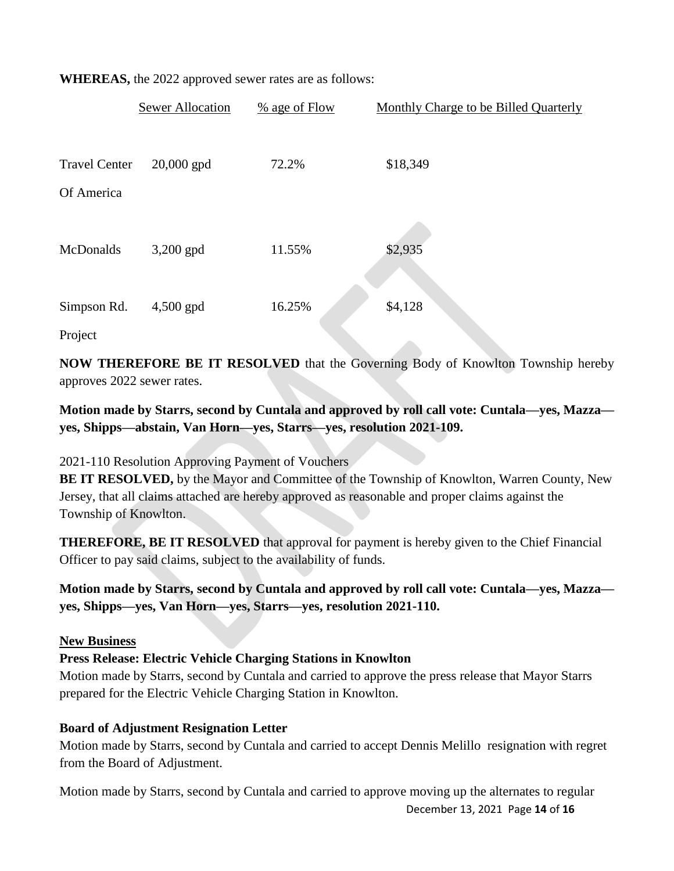|                      | <b>Sewer Allocation</b> | $%$ age of Flow | Monthly Charge to be Billed Quarterly |
|----------------------|-------------------------|-----------------|---------------------------------------|
| <b>Travel Center</b> | $20,000$ gpd            | 72.2%           | \$18,349                              |
| Of America           |                         |                 |                                       |
| McDonalds            | $3,200$ gpd             | 11.55%          | \$2,935                               |
| Simpson Rd.          | $4,500$ gpd             | 16.25%          | \$4,128                               |
| Project              |                         |                 |                                       |

**WHEREAS,** the 2022 approved sewer rates are as follows:

**NOW THEREFORE BE IT RESOLVED** that the Governing Body of Knowlton Township hereby approves 2022 sewer rates.

# **Motion made by Starrs, second by Cuntala and approved by roll call vote: Cuntala—yes, Mazza yes, Shipps—abstain, Van Horn—yes, Starrs—yes, resolution 2021-109.**

2021-110 Resolution Approving Payment of Vouchers

**BE IT RESOLVED,** by the Mayor and Committee of the Township of Knowlton, Warren County, New Jersey, that all claims attached are hereby approved as reasonable and proper claims against the Township of Knowlton.

**THEREFORE, BE IT RESOLVED** that approval for payment is hereby given to the Chief Financial Officer to pay said claims, subject to the availability of funds.

**Motion made by Starrs, second by Cuntala and approved by roll call vote: Cuntala—yes, Mazza yes, Shipps—yes, Van Horn—yes, Starrs—yes, resolution 2021-110.**

### **New Business**

### **Press Release: Electric Vehicle Charging Stations in Knowlton**

Motion made by Starrs, second by Cuntala and carried to approve the press release that Mayor Starrs prepared for the Electric Vehicle Charging Station in Knowlton.

### **Board of Adjustment Resignation Letter**

Motion made by Starrs, second by Cuntala and carried to accept Dennis Melillo resignation with regret from the Board of Adjustment.

December 13, 2021 Page **14** of **16** Motion made by Starrs, second by Cuntala and carried to approve moving up the alternates to regular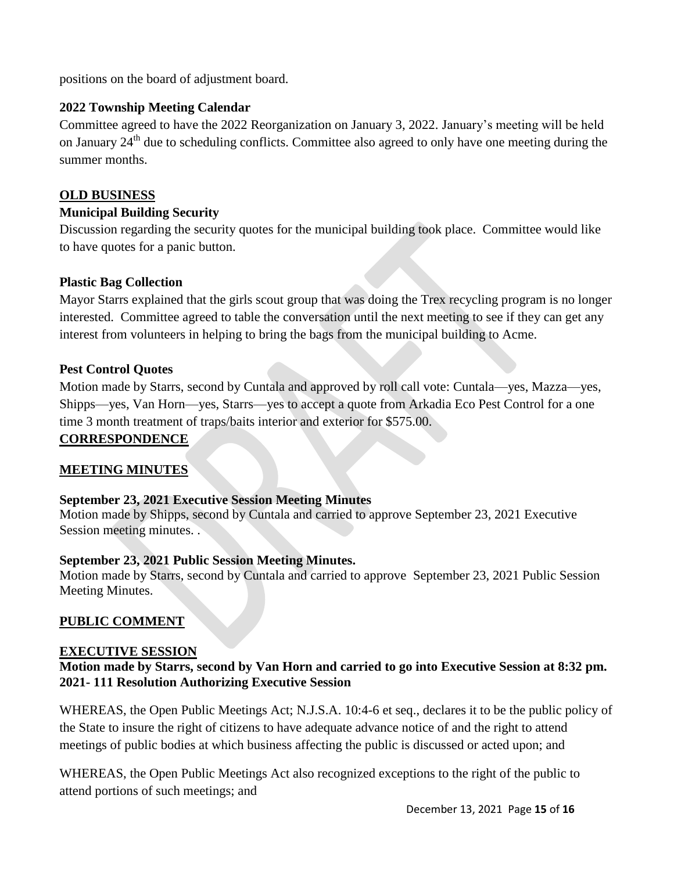positions on the board of adjustment board.

#### **2022 Township Meeting Calendar**

Committee agreed to have the 2022 Reorganization on January 3, 2022. January's meeting will be held on January  $24<sup>th</sup>$  due to scheduling conflicts. Committee also agreed to only have one meeting during the summer months.

#### **OLD BUSINESS**

#### **Municipal Building Security**

Discussion regarding the security quotes for the municipal building took place. Committee would like to have quotes for a panic button.

#### **Plastic Bag Collection**

Mayor Starrs explained that the girls scout group that was doing the Trex recycling program is no longer interested. Committee agreed to table the conversation until the next meeting to see if they can get any interest from volunteers in helping to bring the bags from the municipal building to Acme.

#### **Pest Control Quotes**

Motion made by Starrs, second by Cuntala and approved by roll call vote: Cuntala—yes, Mazza—yes, Shipps—yes, Van Horn—yes, Starrs—yes to accept a quote from Arkadia Eco Pest Control for a one time 3 month treatment of traps/baits interior and exterior for \$575.00.

### **CORRESPONDENCE**

### **MEETING MINUTES**

#### **September 23, 2021 Executive Session Meeting Minutes**

Motion made by Shipps, second by Cuntala and carried to approve September 23, 2021 Executive Session meeting minutes. .

#### **September 23, 2021 Public Session Meeting Minutes.**

Motion made by Starrs, second by Cuntala and carried to approve September 23, 2021 Public Session Meeting Minutes.

### **PUBLIC COMMENT**

#### **EXECUTIVE SESSION**

#### **Motion made by Starrs, second by Van Horn and carried to go into Executive Session at 8:32 pm. 2021- 111 Resolution Authorizing Executive Session**

WHEREAS, the Open Public Meetings Act; N.J.S.A. 10:4-6 et seq., declares it to be the public policy of the State to insure the right of citizens to have adequate advance notice of and the right to attend meetings of public bodies at which business affecting the public is discussed or acted upon; and

WHEREAS, the Open Public Meetings Act also recognized exceptions to the right of the public to attend portions of such meetings; and